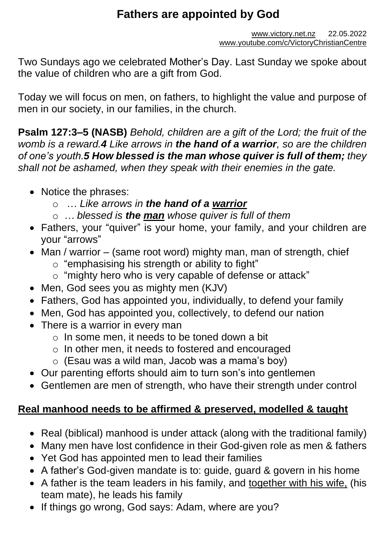# **Fathers are appointed by God**

Two Sundays ago we celebrated Mother's Day. Last Sunday we spoke about the value of children who are a gift from God.

Today we will focus on men, on fathers, to highlight the value and purpose of men in our society, in our families, in the church.

**Psalm 127:3–5 (NASB)** *Behold, children are a gift of the Lord; the fruit of the womb is a reward.4 Like arrows in the hand of a warrior, so are the children of one's youth.5 How blessed is the man whose quiver is full of them; they shall not be ashamed, when they speak with their enemies in the gate.*

- Notice the phrases:
	- o … *Like arrows in the hand of a warrior*
	- o *… blessed is the man whose quiver is full of them*
- Fathers, your "quiver" is your home, your family, and your children are your "arrows"
- Man / warrior (same root word) mighty man, man of strength, chief
	- o "emphasising his strength or ability to fight"
	- o "mighty hero who is very capable of defense or attack"
- Men, God sees you as mighty men (KJV)
- Fathers, God has appointed you, individually, to defend your family
- Men, God has appointed you, collectively, to defend our nation
- There is a warrior in every man
	- o In some men, it needs to be toned down a bit
	- o In other men, it needs to fostered and encouraged
	- $\circ$  (Esau was a wild man, Jacob was a mama's boy)
- Our parenting efforts should aim to turn son's into gentlemen
- Gentlemen are men of strength, who have their strength under control

## **Real manhood needs to be affirmed & preserved, modelled & taught**

- Real (biblical) manhood is under attack (along with the traditional family)
- Many men have lost confidence in their God-given role as men & fathers
- Yet God has appointed men to lead their families
- A father's God-given mandate is to: guide, guard & govern in his home
- A father is the team leaders in his family, and together with his wife, (his team mate), he leads his family
- If things go wrong, God says: Adam, where are you?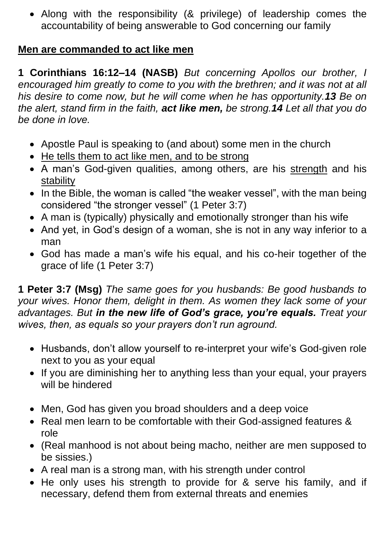• Along with the responsibility (& privilege) of leadership comes the accountability of being answerable to God concerning our family

#### **Men are commanded to act like men**

**1 Corinthians 16:12–14 (NASB)** *But concerning Apollos our brother, I encouraged him greatly to come to you with the brethren; and it was not at all his desire to come now, but he will come when he has opportunity.13 Be on the alert, stand firm in the faith, act like men, be strong.14 Let all that you do be done in love.*

- Apostle Paul is speaking to (and about) some men in the church
- He tells them to act like men, and to be strong
- A man's God-given qualities, among others, are his strength and his stability
- In the Bible, the woman is called "the weaker vessel", with the man being considered "the stronger vessel" (1 Peter 3:7)
- A man is (typically) physically and emotionally stronger than his wife
- And yet, in God's design of a woman, she is not in any way inferior to a man
- God has made a man's wife his equal, and his co-heir together of the grace of life (1 Peter 3:7)

**1 Peter 3:7 (Msg)** *The same goes for you husbands: Be good husbands to your wives. Honor them, delight in them. As women they lack some of your advantages. But in the new life of God's grace, you're equals. Treat your wives, then, as equals so your prayers don't run aground.*

- Husbands, don't allow yourself to re-interpret your wife's God-given role next to you as your equal
- If you are diminishing her to anything less than your equal, your prayers will be hindered
- Men, God has given you broad shoulders and a deep voice
- Real men learn to be comfortable with their God-assigned features & role
- (Real manhood is not about being macho, neither are men supposed to be sissies.)
- A real man is a strong man, with his strength under control
- He only uses his strength to provide for & serve his family, and if necessary, defend them from external threats and enemies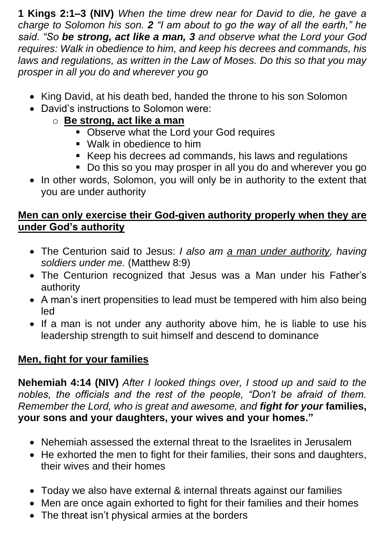**1 Kings 2:1–3 (NIV)** *When the time drew near for David to die, he gave a charge to Solomon his son. 2 "I am about to go the way of all the earth," he said. "So be strong, act like a man, 3 and observe what the Lord your God requires: Walk in obedience to him, and keep his decrees and commands, his laws and regulations, as written in the Law of Moses. Do this so that you may prosper in all you do and wherever you go*

- King David, at his death bed, handed the throne to his son Solomon
- David's instructions to Solomon were:
	- o **Be strong, act like a man** 
		- **Observe what the Lord your God requires**
		- Walk in obedience to him
		- Keep his decrees ad commands, his laws and regulations
		- Do this so you may prosper in all you do and wherever you go
- In other words, Solomon, you will only be in authority to the extent that you are under authority

### **Men can only exercise their God-given authority properly when they are under God's authority**

- The Centurion said to Jesus: *I also am a man under authority, having soldiers under me.* (Matthew 8:9)
- The Centurion recognized that Jesus was a Man under his Father's authority
- A man's inert propensities to lead must be tempered with him also being led
- If a man is not under any authority above him, he is liable to use his leadership strength to suit himself and descend to dominance

## **Men, fight for your families**

**Nehemiah 4:14 (NIV)** *After I looked things over, I stood up and said to the nobles, the officials and the rest of the people, "Don't be afraid of them. Remember the Lord, who is great and awesome, and fight for your* **families, your sons and your daughters, your wives and your homes."**

- Nehemiah assessed the external threat to the Israelites in Jerusalem
- He exhorted the men to fight for their families, their sons and daughters, their wives and their homes
- Today we also have external & internal threats against our families
- Men are once again exhorted to fight for their families and their homes
- The threat isn't physical armies at the borders